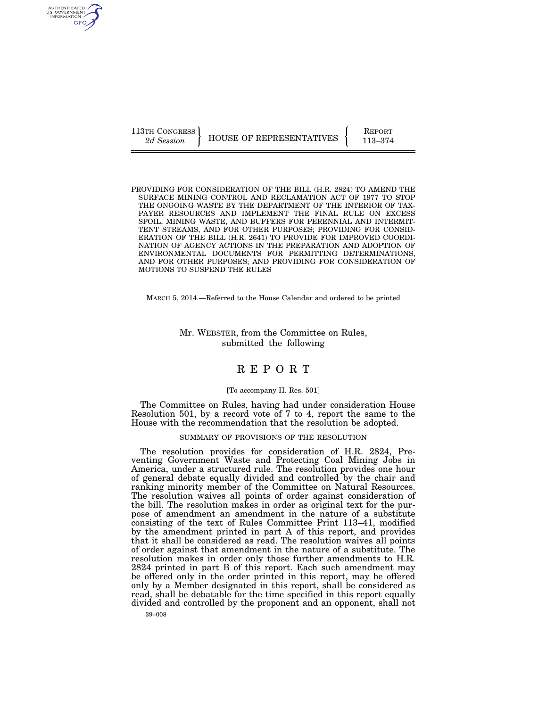AUTHENTICATED U.S. GOVERNMENT GPO

113TH CONGRESS HOUSE OF REPRESENTATIVES **REPORT** 113–374

PROVIDING FOR CONSIDERATION OF THE BILL (H.R. 2824) TO AMEND THE SURFACE MINING CONTROL AND RECLAMATION ACT OF 1977 TO STOP THE ONGOING WASTE BY THE DEPARTMENT OF THE INTERIOR OF TAX-PAYER RESOURCES AND IMPLEMENT THE FINAL RULE ON EXCESS SPOIL, MINING WASTE, AND BUFFERS FOR PERENNIAL AND INTERMIT-TENT STREAMS, AND FOR OTHER PURPOSES; PROVIDING FOR CONSID-ERATION OF THE BILL (H.R. 2641) TO PROVIDE FOR IMPROVED COORDI-NATION OF AGENCY ACTIONS IN THE PREPARATION AND ADOPTION OF ENVIRONMENTAL DOCUMENTS FOR PERMITTING DETERMINATIONS, AND FOR OTHER PURPOSES; AND PROVIDING FOR CONSIDERATION OF MOTIONS TO SUSPEND THE RULES

MARCH 5, 2014.—Referred to the House Calendar and ordered to be printed

Mr. WEBSTER, from the Committee on Rules, submitted the following

# R E P O R T

# [To accompany H. Res. 501]

The Committee on Rules, having had under consideration House Resolution 501, by a record vote of 7 to 4, report the same to the House with the recommendation that the resolution be adopted.

## SUMMARY OF PROVISIONS OF THE RESOLUTION

The resolution provides for consideration of H.R. 2824, Preventing Government Waste and Protecting Coal Mining Jobs in America, under a structured rule. The resolution provides one hour of general debate equally divided and controlled by the chair and ranking minority member of the Committee on Natural Resources. The resolution waives all points of order against consideration of the bill. The resolution makes in order as original text for the purpose of amendment an amendment in the nature of a substitute consisting of the text of Rules Committee Print 113–41, modified by the amendment printed in part A of this report, and provides that it shall be considered as read. The resolution waives all points of order against that amendment in the nature of a substitute. The resolution makes in order only those further amendments to H.R. 2824 printed in part B of this report. Each such amendment may be offered only in the order printed in this report, may be offered only by a Member designated in this report, shall be considered as read, shall be debatable for the time specified in this report equally divided and controlled by the proponent and an opponent, shall not

39–008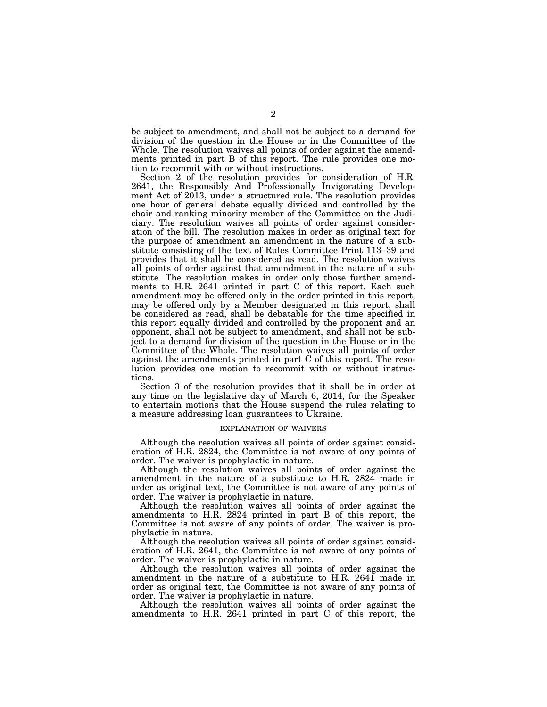be subject to amendment, and shall not be subject to a demand for division of the question in the House or in the Committee of the Whole. The resolution waives all points of order against the amendments printed in part B of this report. The rule provides one motion to recommit with or without instructions.

Section 2 of the resolution provides for consideration of H.R. 2641, the Responsibly And Professionally Invigorating Development Act of 2013, under a structured rule. The resolution provides one hour of general debate equally divided and controlled by the chair and ranking minority member of the Committee on the Judiciary. The resolution waives all points of order against consideration of the bill. The resolution makes in order as original text for the purpose of amendment an amendment in the nature of a substitute consisting of the text of Rules Committee Print 113–39 and provides that it shall be considered as read. The resolution waives all points of order against that amendment in the nature of a substitute. The resolution makes in order only those further amendments to H.R. 2641 printed in part C of this report. Each such amendment may be offered only in the order printed in this report, may be offered only by a Member designated in this report, shall be considered as read, shall be debatable for the time specified in this report equally divided and controlled by the proponent and an opponent, shall not be subject to amendment, and shall not be subject to a demand for division of the question in the House or in the Committee of the Whole. The resolution waives all points of order against the amendments printed in part C of this report. The resolution provides one motion to recommit with or without instructions.

Section 3 of the resolution provides that it shall be in order at any time on the legislative day of March 6, 2014, for the Speaker to entertain motions that the House suspend the rules relating to a measure addressing loan guarantees to Ukraine.

#### EXPLANATION OF WAIVERS

Although the resolution waives all points of order against consideration of H.R. 2824, the Committee is not aware of any points of order. The waiver is prophylactic in nature.

Although the resolution waives all points of order against the amendment in the nature of a substitute to H.R. 2824 made in order as original text, the Committee is not aware of any points of order. The waiver is prophylactic in nature.

Although the resolution waives all points of order against the amendments to H.R. 2824 printed in part B of this report, the Committee is not aware of any points of order. The waiver is prophylactic in nature.

Although the resolution waives all points of order against consideration of H.R. 2641, the Committee is not aware of any points of order. The waiver is prophylactic in nature.

Although the resolution waives all points of order against the amendment in the nature of a substitute to H.R. 2641 made in order as original text, the Committee is not aware of any points of order. The waiver is prophylactic in nature.

Although the resolution waives all points of order against the amendments to H.R. 2641 printed in part C of this report, the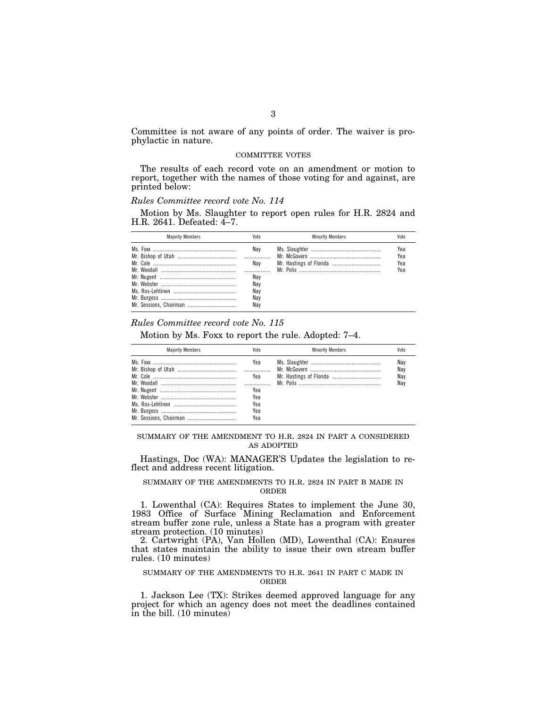Committee is not aware of any points of order. The waiver is prophylactic in nature.

#### COMMITTEE VOTES

The results of each record vote on an amendment or motion to report, together with the names of those voting for and against, are printed below:

# *Rules Committee record vote No. 114*

Motion by Ms. Slaughter to report open rules for H.R. 2824 and H.R. 2641. Defeated: 4–7.

| <b>Maiority Members</b> | Vote                                          | <b>Minority Members</b> | Vote                     |
|-------------------------|-----------------------------------------------|-------------------------|--------------------------|
|                         | Nav<br>Nav<br>Nav<br>Nav<br>Nav<br>Nav<br>Nav |                         | Yea<br>Yea<br>Yea<br>Yea |

### *Rules Committee record vote No. 115*

Motion by Ms. Foxx to report the rule. Adopted: 7–4.

| <b>Maiority Members</b> | Vote | <b>Minority Members</b> | Vote |
|-------------------------|------|-------------------------|------|
|                         | Yea  |                         | Nay  |
|                         |      |                         | Nay  |
|                         | Yea  |                         | Nay  |
|                         |      |                         | Nav  |
|                         | Yea  |                         |      |
|                         | Yea  |                         |      |
|                         | Yea  |                         |      |
|                         | Yea  |                         |      |
|                         | Yea  |                         |      |

SUMMARY OF THE AMENDMENT TO H.R. 2824 IN PART A CONSIDERED AS ADOPTED

Hastings, Doc (WA): MANAGER'S Updates the legislation to reflect and address recent litigation.

# SUMMARY OF THE AMENDMENTS TO H.R. 2824 IN PART B MADE IN ORDER

1. Lowenthal (CA): Requires States to implement the June 30, 1983 Office of Surface Mining Reclamation and Enforcement stream buffer zone rule, unless a State has a program with greater stream protection. (10 minutes)

2. Cartwright (PA), Van Hollen (MD), Lowenthal (CA): Ensures that states maintain the ability to issue their own stream buffer rules. (10 minutes)

#### SUMMARY OF THE AMENDMENTS TO H.R. 2641 IN PART C MADE IN ORDER

1. Jackson Lee (TX): Strikes deemed approved language for any project for which an agency does not meet the deadlines contained in the bill. (10 minutes)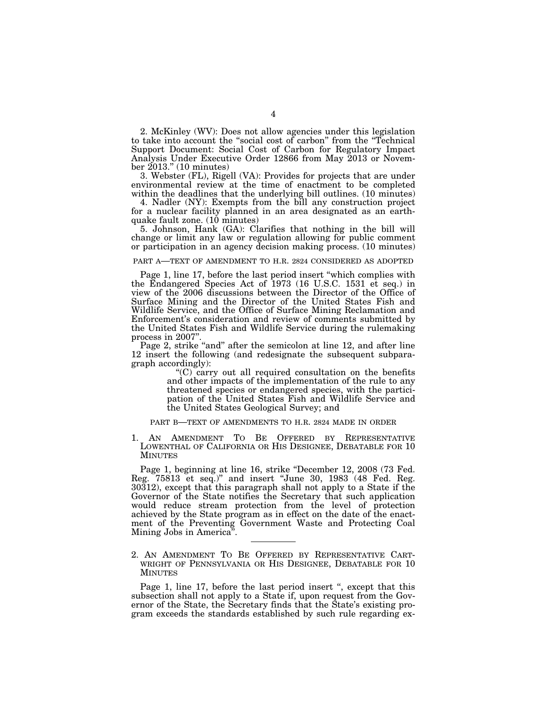2. McKinley (WV): Does not allow agencies under this legislation to take into account the ''social cost of carbon'' from the ''Technical Support Document: Social Cost of Carbon for Regulatory Impact Analysis Under Executive Order 12866 from May 2013 or November 2013.'' (10 minutes)

3. Webster (FL), Rigell (VA): Provides for projects that are under environmental review at the time of enactment to be completed within the deadlines that the underlying bill outlines. (10 minutes)

4. Nadler (NY): Exempts from the bill any construction project for a nuclear facility planned in an area designated as an earthquake fault zone. (10 minutes)

5. Johnson, Hank (GA): Clarifies that nothing in the bill will change or limit any law or regulation allowing for public comment or participation in an agency decision making process. (10 minutes)

#### PART A—TEXT OF AMENDMENT TO H.R. 2824 CONSIDERED AS ADOPTED

Page 1, line 17, before the last period insert ''which complies with the Endangered Species Act of 1973 (16 U.S.C. 1531 et seq.) in view of the 2006 discussions between the Director of the Office of Surface Mining and the Director of the United States Fish and Wildlife Service, and the Office of Surface Mining Reclamation and Enforcement's consideration and review of comments submitted by the United States Fish and Wildlife Service during the rulemaking process in 2007''.

Page 2, strike "and" after the semicolon at line 12, and after line 12 insert the following (and redesignate the subsequent subparagraph accordingly):

> ''(C) carry out all required consultation on the benefits and other impacts of the implementation of the rule to any threatened species or endangered species, with the participation of the United States Fish and Wildlife Service and the United States Geological Survey; and

#### PART B—TEXT OF AMENDMENTS TO H.R. 2824 MADE IN ORDER

1. AN AMENDMENT TO BE OFFERED BY REPRESENTATIVE LOWENTHAL OF CALIFORNIA OR HIS DESIGNEE, DEBATABLE FOR 10 MINUTES

Page 1, beginning at line 16, strike ''December 12, 2008 (73 Fed. Reg. 75813 et seq.)'' and insert ''June 30, 1983 (48 Fed. Reg. 30312), except that this paragraph shall not apply to a State if the Governor of the State notifies the Secretary that such application would reduce stream protection from the level of protection achieved by the State program as in effect on the date of the enactment of the Preventing Government Waste and Protecting Coal Mining Jobs in America''.

2. AN AMENDMENT TO BE OFFERED BY REPRESENTATIVE CART-WRIGHT OF PENNSYLVANIA OR HIS DESIGNEE, DEBATABLE FOR 10 **MINUTES** 

Page 1, line 17, before the last period insert ", except that this subsection shall not apply to a State if, upon request from the Governor of the State, the Secretary finds that the State's existing program exceeds the standards established by such rule regarding ex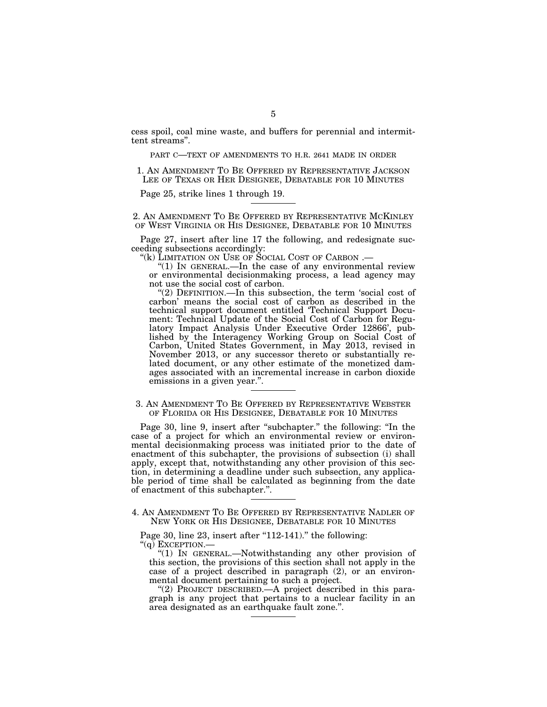cess spoil, coal mine waste, and buffers for perennial and intermittent streams''.

PART C—TEXT OF AMENDMENTS TO H.R. 2641 MADE IN ORDER

1. AN AMENDMENT TO BE OFFERED BY REPRESENTATIVE JACKSON LEE OF TEXAS OR HER DESIGNEE, DEBATABLE FOR 10 MINUTES

Page 25, strike lines 1 through 19.

2. AN AMENDMENT TO BE OFFERED BY REPRESENTATIVE MCKINLEY OF WEST VIRGINIA OR HIS DESIGNEE, DEBATABLE FOR 10 MINUTES

Page 27, insert after line 17 the following, and redesignate succeeding subsections accordingly:<br>"(k) LIMITATION ON USE OF SOCIAL COST OF CARBON .—

"(1) IN GENERAL.—In the case of any environmental review or environmental decisionmaking process, a lead agency may not use the social cost of carbon.

"(2) DEFINITION.—In this subsection, the term 'social cost of carbon' means the social cost of carbon as described in the technical support document entitled 'Technical Support Document: Technical Update of the Social Cost of Carbon for Regulatory Impact Analysis Under Executive Order 12866', published by the Interagency Working Group on Social Cost of Carbon, United States Government, in May 2013, revised in November 2013, or any successor thereto or substantially related document, or any other estimate of the monetized damages associated with an incremental increase in carbon dioxide emissions in a given year.''.

3. AN AMENDMENT TO BE OFFERED BY REPRESENTATIVE WEBSTER OF FLORIDA OR HIS DESIGNEE, DEBATABLE FOR 10 MINUTES

Page 30, line 9, insert after "subchapter." the following: "In the case of a project for which an environmental review or environmental decisionmaking process was initiated prior to the date of enactment of this subchapter, the provisions of subsection (i) shall apply, except that, notwithstanding any other provision of this section, in determining a deadline under such subsection, any applicable period of time shall be calculated as beginning from the date of enactment of this subchapter.''.

#### 4. AN AMENDMENT TO BE OFFERED BY REPRESENTATIVE NADLER OF NEW YORK OR HIS DESIGNEE, DEBATABLE FOR 10 MINUTES

Page 30, line  $23$ , insert after "112-141)." the following: ''(q) EXCEPTION.—

''(1) IN GENERAL.—Notwithstanding any other provision of this section, the provisions of this section shall not apply in the case of a project described in paragraph (2), or an environmental document pertaining to such a project.

''(2) PROJECT DESCRIBED.—A project described in this paragraph is any project that pertains to a nuclear facility in an area designated as an earthquake fault zone.''.